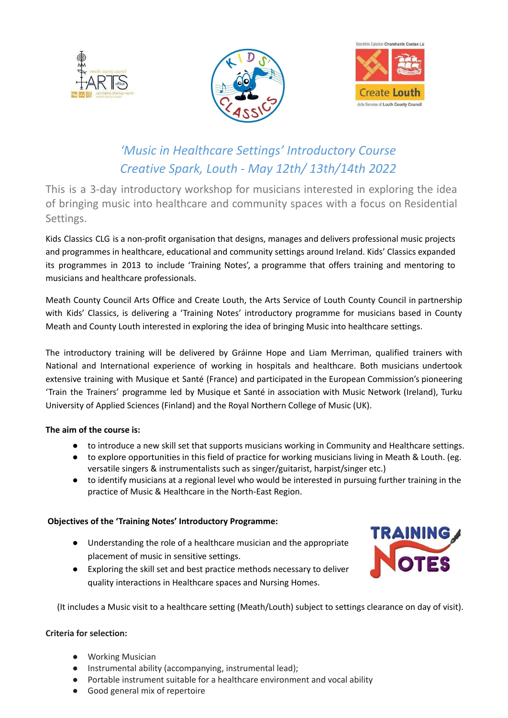





# *'Music in Healthcare Settings' Introductory Course Creative Spark, Louth - May 12th/ 13th/14th 2022*

This is a 3-day introductory workshop for musicians interested in exploring the idea of bringing music into healthcare and community spaces with a focus on Residential Settings.

Kids Classics CLG is a non-profit organisation that designs, manages and delivers professional music projects and programmes in healthcare, educational and community settings around Ireland. Kids' Classics expanded its programmes in 2013 to include 'Training Notes', a programme that offers training and mentoring to musicians and healthcare professionals.

Meath County Council Arts Office and Create Louth, the Arts Service of Louth County Council in partnership with Kids' Classics, is delivering a 'Training Notes' introductory programme for musicians based in County Meath and County Louth interested in exploring the idea of bringing Music into healthcare settings.

The introductory training will be delivered by Gráinne Hope and Liam Merriman, qualified trainers with National and International experience of working in hospitals and healthcare. Both musicians undertook extensive training with Musique et Santé (France) and participated in the European Commission's pioneering 'Train the Trainers' programme led by Musique et Santé in association with Music Network (Ireland), Turku University of Applied Sciences (Finland) and the Royal Northern College of Music (UK).

## **The aim of the course is:**

- to introduce a new skill set that supports musicians working in Community and Healthcare settings.
- to explore opportunities in this field of practice for working musicians living in Meath & Louth. (eg. versatile singers & instrumentalists such as singer/guitarist, harpist/singer etc.)
- to identify musicians at a regional level who would be interested in pursuing further training in the practice of Music & Healthcare in the North-East Region.

### **Objectives of the 'Training Notes' Introductory Programme:**

- Understanding the role of a healthcare musician and the appropriate placement of music in sensitive settings.
- Exploring the skill set and best practice methods necessary to deliver quality interactions in Healthcare spaces and Nursing Homes.



(It includes a Music visit to a healthcare setting (Meath/Louth) subject to settings clearance on day of visit).

### **Criteria for selection:**

- Working Musician
- Instrumental ability (accompanying, instrumental lead);
- Portable instrument suitable for a healthcare environment and vocal ability
- Good general mix of repertoire